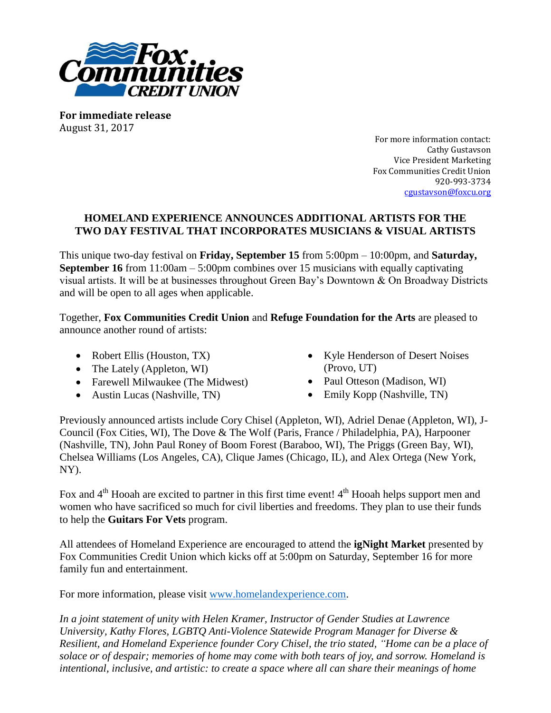

**For immediate release** August 31, 2017

> For more information contact: Cathy Gustavson Vice President Marketing Fox Communities Credit Union 920-993-3734 [cgustavson@foxcu.org](mailto:cgustavson@foxcu.org)

## **HOMELAND EXPERIENCE ANNOUNCES ADDITIONAL ARTISTS FOR THE TWO DAY FESTIVAL THAT INCORPORATES MUSICIANS & VISUAL ARTISTS**

This unique two-day festival on **Friday, September 15** from 5:00pm – 10:00pm, and **Saturday, September 16** from 11:00am – 5:00pm combines over 15 musicians with equally captivating visual artists. It will be at businesses throughout Green Bay's Downtown & On Broadway Districts and will be open to all ages when applicable.

Together, **Fox Communities Credit Union** and **Refuge Foundation for the Arts** are pleased to announce another round of artists:

- Robert Ellis (Houston, TX)
- The Lately (Appleton, WI)
- Farewell Milwaukee (The Midwest)
- Austin Lucas (Nashville, TN)
- Kyle Henderson of Desert Noises (Provo, UT)
- Paul Otteson (Madison, WI)
- Emily Kopp (Nashville, TN)

Previously announced artists include Cory Chisel (Appleton, WI), Adriel Denae (Appleton, WI), J-Council (Fox Cities, WI), The Dove & The Wolf (Paris, France / Philadelphia, PA), Harpooner (Nashville, TN), John Paul Roney of Boom Forest (Baraboo, WI), The Priggs (Green Bay, WI), Chelsea Williams (Los Angeles, CA), Clique James (Chicago, IL), and Alex Ortega (New York, NY).

Fox and 4<sup>th</sup> Hooah are excited to partner in this first time event! 4<sup>th</sup> Hooah helps support men and women who have sacrificed so much for civil liberties and freedoms. They plan to use their funds to help the **Guitars For Vets** program.

All attendees of Homeland Experience are encouraged to attend the **igNight Market** presented by Fox Communities Credit Union which kicks off at 5:00pm on Saturday, September 16 for more family fun and entertainment.

For more information, please visit [www.homelandexperience.com.](http://www.homelandexperience.com/)

*In a joint statement of unity with Helen Kramer, Instructor of Gender Studies at Lawrence University, Kathy Flores, LGBTQ Anti-Violence Statewide Program Manager for Diverse & Resilient, and Homeland Experience founder Cory Chisel, the trio stated, "Home can be a place of solace or of despair; memories of home may come with both tears of joy, and sorrow. Homeland is intentional, inclusive, and artistic: to create a space where all can share their meanings of home*